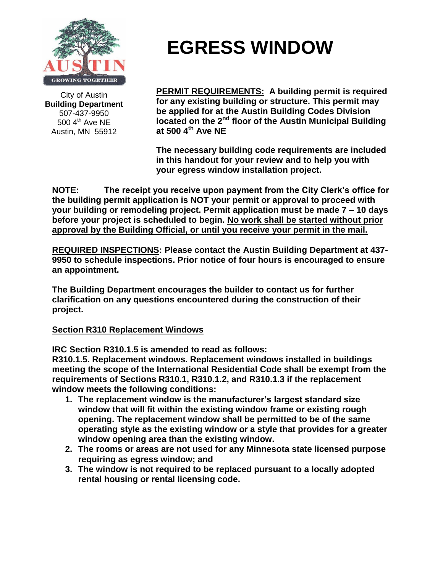

City of Austin **Building Department** 507-437-9950  $500$  4<sup>th</sup> Ave NE Austin, MN 55912

## **EGRESS WINDOW**

**PERMIT REQUIREMENTS: A building permit is required for any existing building or structure. This permit may be applied for at the Austin Building Codes Division located on the 2nd floor of the Austin Municipal Building at 500 4 th Ave NE**

**The necessary building code requirements are included in this handout for your review and to help you with your egress window installation project.**

**NOTE: The receipt you receive upon payment from the City Clerk's office for the building permit application is NOT your permit or approval to proceed with your building or remodeling project. Permit application must be made 7 – 10 days before your project is scheduled to begin. No work shall be started without prior approval by the Building Official, or until you receive your permit in the mail.**

**REQUIRED INSPECTIONS: Please contact the Austin Building Department at 437- 9950 to schedule inspections. Prior notice of four hours is encouraged to ensure an appointment.**

**The Building Department encourages the builder to contact us for further clarification on any questions encountered during the construction of their project.**

## **Section R310 Replacement Windows**

**IRC Section R310.1.5 is amended to read as follows:**

**R310.1.5. Replacement windows. Replacement windows installed in buildings meeting the scope of the International Residential Code shall be exempt from the requirements of Sections R310.1, R310.1.2, and R310.1.3 if the replacement window meets the following conditions:**

- **1. The replacement window is the manufacturer's largest standard size window that will fit within the existing window frame or existing rough opening. The replacement window shall be permitted to be of the same operating style as the existing window or a style that provides for a greater window opening area than the existing window.**
- **2. The rooms or areas are not used for any Minnesota state licensed purpose requiring as egress window; and**
- **3. The window is not required to be replaced pursuant to a locally adopted rental housing or rental licensing code.**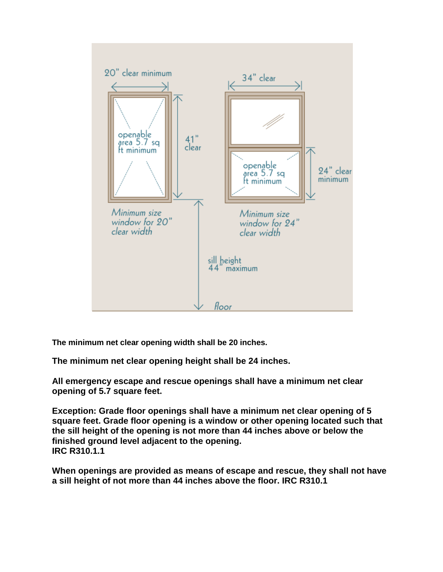

**The minimum net clear opening width shall be 20 inches.** 

**The minimum net clear opening height shall be 24 inches.**

**All emergency escape and rescue openings shall have a minimum net clear opening of 5.7 square feet.**

**Exception: Grade floor openings shall have a minimum net clear opening of 5 square feet. Grade floor opening is a window or other opening located such that the sill height of the opening is not more than 44 inches above or below the finished ground level adjacent to the opening. IRC R310.1.1**

**When openings are provided as means of escape and rescue, they shall not have a sill height of not more than 44 inches above the floor. IRC R310.1**